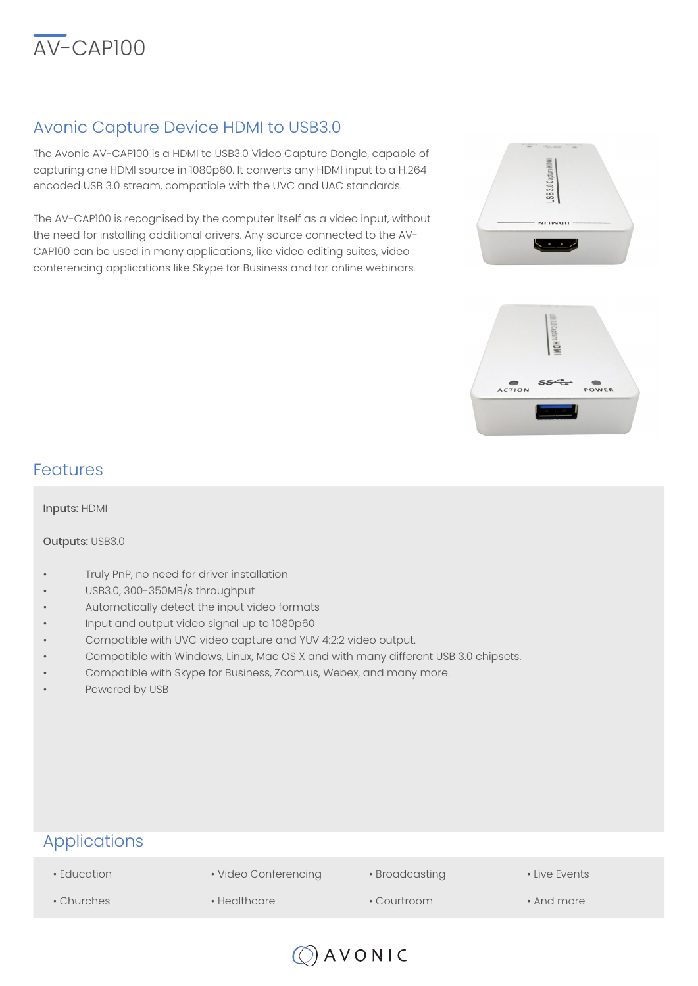

# Avonic Capture Device HDMI to USB3.0

The Avonic AV-CAP100 is a HDMI to USB3.0 Video Capture Dongle, capable of capturing one HDMI source in 1080p60. It converts any HDMI input to a H.264 encoded USB 3.0 stream, compatible with the UVC and UAC standards.

The AV-CAP100 is recognised by the computer itself as a video input, without the need for installing additional drivers. Any source connected to the AV-CAP100 can be used in many applications, like video editing suites, video conferencing applications like Skype for Business and for online webinars.





## Features

Inputs: HDMI

#### Outputs: USB3.0

- Truly PnP, no need for driver installation
- USB3.0, 300-350MB/s throughput
- Automatically detect the input video formats
- Input and output video signal up to 1080p60
- Compatible with UVC video capture and YUV 4:2:2 video output.
- Compatible with Windows, Linux, Mac OS X and with many different USB 3.0 chipsets.
- Compatible with Skype for Business, Zoom.us, Webex, and many more.
- Powered by USB

## Applications

• Education

- Video Conferencing
- Broadcasting
- Live Events

- Churches
- Healthcare
- Courtroom
- And more